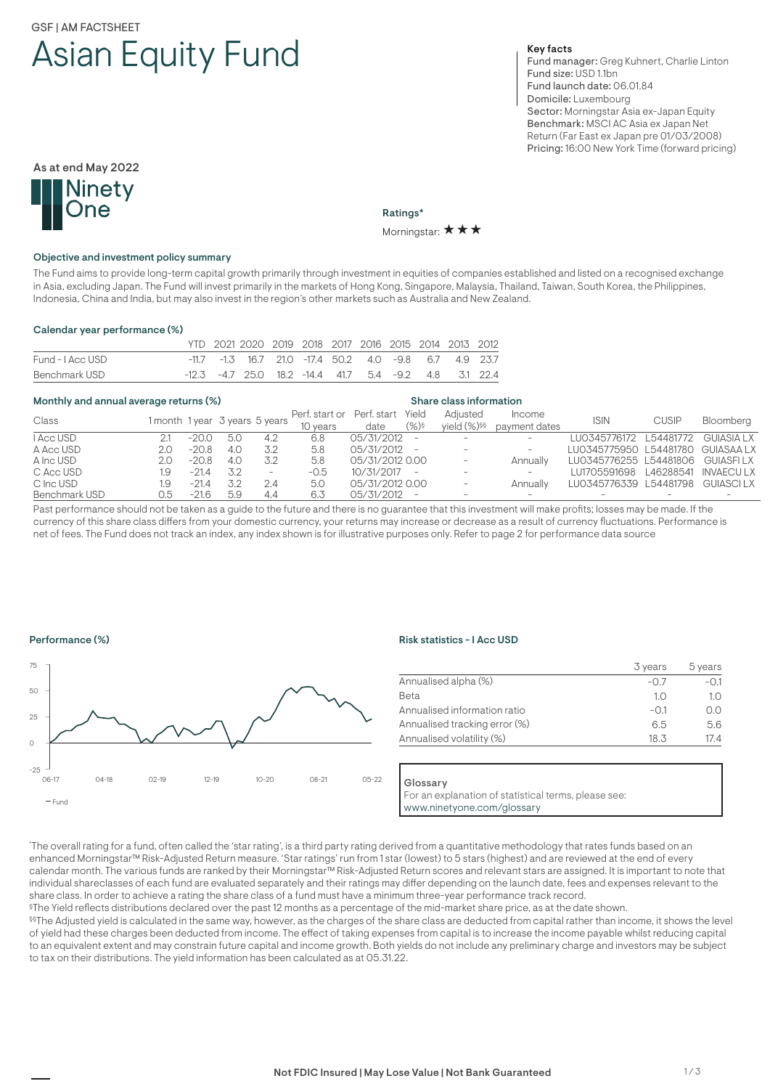# GSF | AM FACTSHEET Asian Equity Fund

# Key facts

Fund manager: Greg Kuhnert, Charlie Linton Fund size: USD 1.1bn Fund launch date: 06.01.84 Domicile: Luxembourg Sector: Morningstar Asia ex-Japan Equity Benchmark: MSCI AC Asia ex Japan Net Return (Far East ex Japan pre 01/03/2008) Pricing: 16:00 New York Time (forward pricing)



Ratings\*

Morningstar:  $\star \star \star$ 

#### Objective and investment policy summary

The Fund aims to provide long-term capital growth primarily through investment in equities of companies established and listed on a recognised exchange in Asia, excluding Japan. The Fund will invest primarily in the markets of Hong Kong, Singapore, Malaysia, Thailand, Taiwan, South Korea, the Philippines, Indonesia, China and India, but may also invest in the region's other markets such as Australia and New Zealand.

#### Calendar year performance (%)

|                  | YTD 2021 2020 2019 2018 2017 2016 2015 2014 2013 2012         |  |  |  |  |  |
|------------------|---------------------------------------------------------------|--|--|--|--|--|
| Fund - I Acc USD | -11.7 -1.3 16.7 21.0 -17.4 50.2 4.0 -9.8 6.7 4.9 23.7         |  |  |  |  |  |
| Benchmark USD    | $-12.3$ $-4.7$ 25.0 18.2 $-14.4$ 41.7 5.4 $-9.2$ 4.8 3.1 22.4 |  |  |  |  |  |

#### Monthly and annual average returns (%) Share class information

| Class         |     |                                |     |                          | Perf. start or Perf. start Yield |                 |             | Adiusted        | Income                   | <b>ISIN</b>                       | <b>CUSIP</b> | Bloomberg |
|---------------|-----|--------------------------------|-----|--------------------------|----------------------------------|-----------------|-------------|-----------------|--------------------------|-----------------------------------|--------------|-----------|
|               |     | 1 month 1 year 3 years 5 years |     |                          | 10 years                         | date            | $(\%)^{\S}$ | vield $(\%)$ §§ | payment dates            |                                   |              |           |
| I Acc USD     |     | $-20.0$                        | 5.0 | 4.2                      | 6.8                              | 05/31/2012 -    |             |                 | $-$                      | LU0345776172 L54481772 GUIASIA LX |              |           |
| A Acc USD     | 2.0 | $-20.8$                        | 4.0 | 3.2                      | 5.8                              | 05/31/2012 -    |             |                 | $\overline{\phantom{0}}$ | LU0345775950 L54481780 GUIASAA LX |              |           |
| A Inc USD     | 2.0 | $-20.8$                        | 4.0 | 3.2                      | 5.8                              | 05/31/2012 0.00 |             |                 | Annually                 | LU0345776255 L54481806 GUIASFILX  |              |           |
| C Acc USD     | 1.9 | $-21.4$                        | 3.2 | $\overline{\phantom{a}}$ | -0.5                             | $10/31/2017 -$  |             |                 | $-$                      | LU1705591698 L46288541 INVAECULX  |              |           |
| C Inc USD     | 1.9 | $-21.4$                        |     | 2.4                      | 5.0                              | 05/31/2012 0.00 |             |                 | Annually                 | LU0345776339 L54481798 GUIASCILX  |              |           |
| Benchmark USD | 0.5 | $-21.6$                        | 5.9 | 4.4                      | 6.3                              | 05/31/2012 -    |             |                 | $\sim$                   |                                   |              |           |

Past performance should not be taken as a guide to the future and there is no guarantee that this investment will make profits; losses may be made. If the currency of this share class differs from your domestic currency, your returns may increase or decrease as a result of currency fluctuations. Performance is net of fees. The Fund does not track an index, any index shown is for illustrative purposes only. Refer to page 2 for performance data source

#### Performance (%)



#### Risk statistics - I Acc USD

|                               | 3 years | 5 years |
|-------------------------------|---------|---------|
| Annualised alpha (%)          | $-0.7$  | $-0.1$  |
| <b>Beta</b>                   | 1.0     | 1.0     |
| Annualised information ratio  | $-0.1$  | O.O     |
| Annualised tracking error (%) | 6.5     | 5.6     |
| Annualised volatility (%)     | 18.3    | 17.4    |

Glossary

For an explanation of statistical terms, please see: www.ninetyone.com/glossary

\* The overall rating for a fund, often called the 'star rating', is a third party rating derived from a quantitative methodology that rates funds based on an enhanced Morningstar™ Risk-Adjusted Return measure. 'Star ratings' run from 1 star (lowest) to 5 stars (highest) and are reviewed at the end of every calendar month. The various funds are ranked by their Morningstar™ Risk-Adjusted Return scores and relevant stars are assigned. It is important to note that individual shareclasses of each fund are evaluated separately and their ratings may differ depending on the launch date, fees and expenses relevant to the share class. In order to achieve a rating the share class of a fund must have a minimum three-year performance track record.

§The Yield reflects distributions declared over the past 12 months as a percentage of the mid-market share price, as at the date shown.

§§The Adjusted yield is calculated in the same way, however, as the charges of the share class are deducted from capital rather than income, it shows the level of yield had these charges been deducted from income. The effect of taking expenses from capital is to increase the income payable whilst reducing capital to an equivalent extent and may constrain future capital and income growth. Both yields do not include any preliminary charge and investors may be subject to tax on their distributions. The yield information has been calculated as at 05.31.22.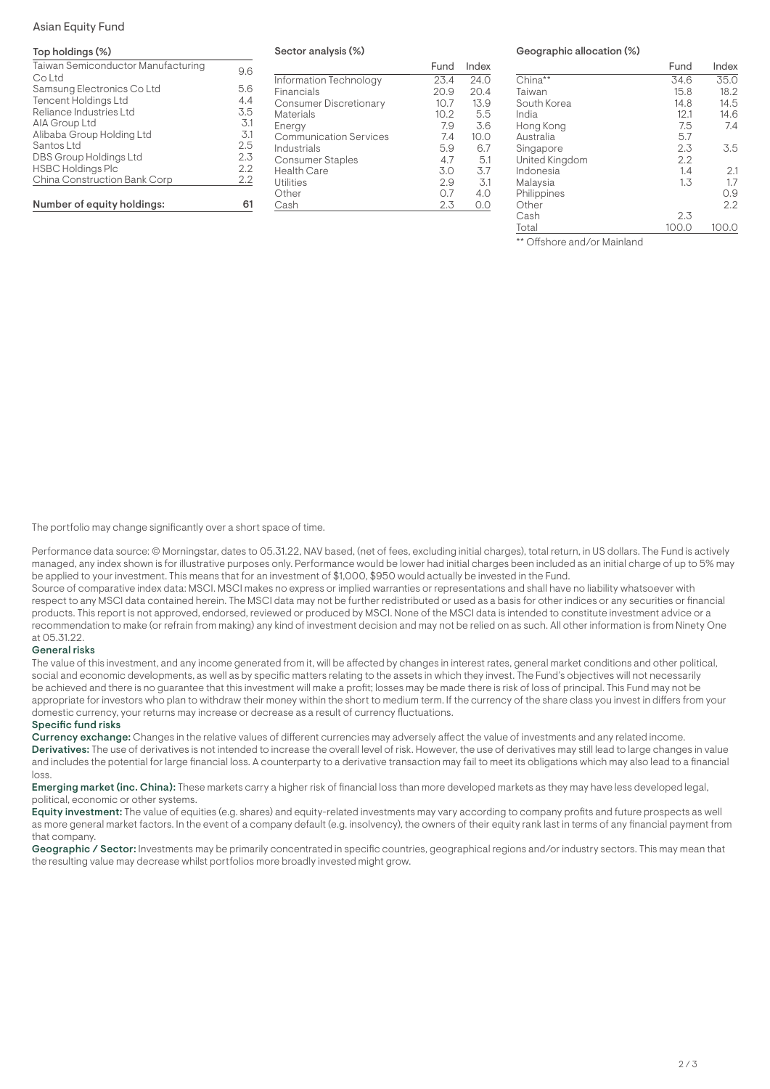### Asian Equity Fund

## Top holdings (%)

| Taiwan Semiconductor Manufacturing   | 9.6 |
|--------------------------------------|-----|
| Co Ltd<br>Samsung Electronics Co Ltd | 5.6 |
| <b>Tencent Holdings Ltd</b>          | 4.4 |
| Reliance Industries Ltd              | 3.5 |
| AIA Group Ltd                        | 3.1 |
| Alibaba Group Holding Ltd            | 3.1 |
| Santos Ltd                           | 2.5 |
| DBS Group Holdings Ltd               | 2.3 |
| <b>HSBC Holdings Plc</b>             | 2.2 |
| China Construction Bank Corp         | 2.2 |
| Number of equity holdings:           |     |

#### Sector analysis (%)

|                               | Fund | Index |
|-------------------------------|------|-------|
| Information Technology        | 23.4 | 24.0  |
| Financials                    | 20.9 | 20.4  |
| <b>Consumer Discretionary</b> | 10.7 | 13.9  |
| <b>Materials</b>              | 10.2 | 5.5   |
| Energy                        | 7.9  | 3.6   |
| <b>Communication Services</b> | 7.4  | 10.0  |
| Industrials                   | 5.9  | 6.7   |
| <b>Consumer Staples</b>       | 4.7  | 5.1   |
| <b>Health Care</b>            | 3.0  | 3.7   |
| <b>Utilities</b>              | 2.9  | 3.1   |
| Other                         | 0.7  | 4.0   |
| Cash                          | 2.3  |       |

## Geographic allocation (%)

|                | Fund  | Index |
|----------------|-------|-------|
| China**        | 34.6  | 35.0  |
| Taiwan         | 15.8  | 18.2  |
| South Korea    | 14.8  | 14.5  |
| India          | 12.1  | 14.6  |
| Hong Kong      | 7.5   | 7.4   |
| Australia      | 5.7   |       |
| Singapore      | 2.3   | 3.5   |
| United Kingdom | 2.2   |       |
| Indonesia      | 1.4   | 2.1   |
| Malaysia       | 1.3   | 1.7   |
| Philippines    |       | 0.9   |
| Other          |       | 2.2   |
| Cash           | 2.3   |       |
| Total          | 100.0 | 100.0 |

\*\* Offshore and/or Mainland

The portfolio may change significantly over a short space of time.

Performance data source: © Morningstar, dates to 05.31.22, NAV based, (net of fees, excluding initial charges), total return, in US dollars. The Fund is actively managed, any index shown is for illustrative purposes only. Performance would be lower had initial charges been included as an initial charge of up to 5% may be applied to your investment. This means that for an investment of \$1,000, \$950 would actually be invested in the Fund.

Source of comparative index data: MSCI. MSCI makes no express or implied warranties or representations and shall have no liability whatsoever with respect to any MSCI data contained herein. The MSCI data may not be further redistributed or used as a basis for other indices or any securities or financial products. This report is not approved, endorsed, reviewed or produced by MSCI. None of the MSCI data is intended to constitute investment advice or a recommendation to make (or refrain from making) any kind of investment decision and may not be relied on as such. All other information is from Ninety One at 05.31.22.

### General risks

The value of this investment, and any income generated from it, will be affected by changes in interest rates, general market conditions and other political, social and economic developments, as well as by specific matters relating to the assets in which they invest. The Fund's objectives will not necessarily be achieved and there is no guarantee that this investment will make a profit; losses may be made there is risk of loss of principal. This Fund may not be appropriate for investors who plan to withdraw their money within the short to medium term. If the currency of the share class you invest in differs from your domestic currency, your returns may increase or decrease as a result of currency fluctuations.

#### Specific fund risks

Currency exchange: Changes in the relative values of different currencies may adversely affect the value of investments and any related income. Derivatives: The use of derivatives is not intended to increase the overall level of risk. However, the use of derivatives may still lead to large changes in value and includes the potential for large financial loss. A counterparty to a derivative transaction may fail to meet its obligations which may also lead to a financial loss.

**Emerging market (inc. China):** These markets carry a higher risk of financial loss than more developed markets as they may have less developed legal, political, economic or other systems.

Equity investment: The value of equities (e.g. shares) and equity-related investments may vary according to company profits and future prospects as well as more general market factors. In the event of a company default (e.g. insolvency), the owners of their equity rank last in terms of any financial payment from that company.

Geographic / Sector: Investments may be primarily concentrated in specific countries, geographical regions and/or industry sectors. This may mean that the resulting value may decrease whilst portfolios more broadly invested might grow.